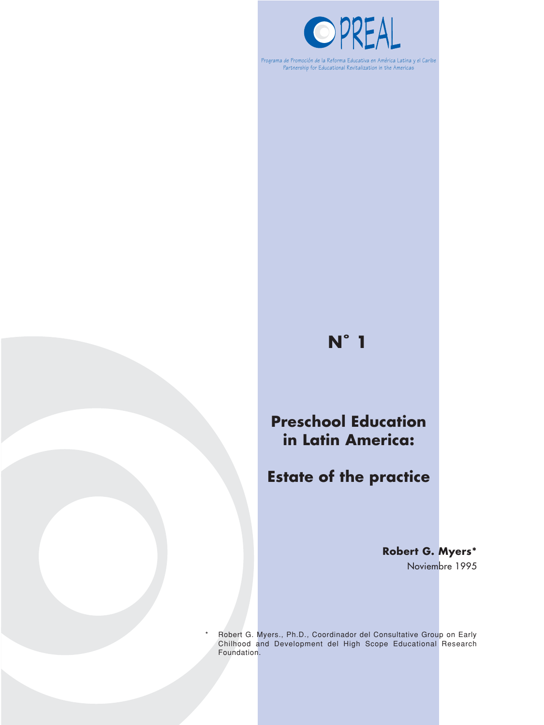

Programa de Promoción de la Reforma Educativa en América Latina y el Caribe Partnership for Educational Revitalization in the Americas

# **N˚ 1**

# **Preschool Education in Latin America:**

# **Estate of the practice**

**Robert G. Myers\*** Noviembre 1995

Robert G. Myers., Ph.D., Coordinador del Consultative Group on Early Chilhood and Development del High Scope Educational Research Foundation.

\*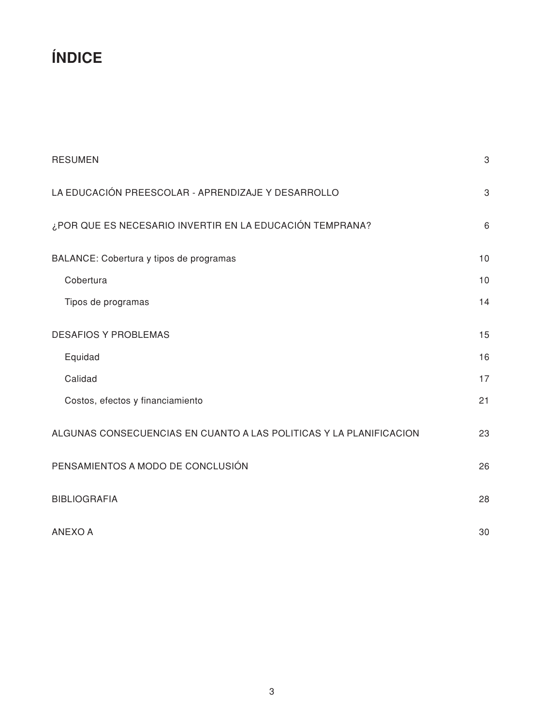# **ÍNDICE**

| <b>RESUMEN</b>                                                     | $\ensuremath{\mathsf{3}}$ |
|--------------------------------------------------------------------|---------------------------|
| LA EDUCACIÓN PREESCOLAR - APRENDIZAJE Y DESARROLLO                 | 3                         |
| ¿POR QUE ES NECESARIO INVERTIR EN LA EDUCACIÓN TEMPRANA?           | 6                         |
| BALANCE: Cobertura y tipos de programas                            | 10                        |
| Cobertura                                                          | 10                        |
| Tipos de programas                                                 | 14                        |
| <b>DESAFIOS Y PROBLEMAS</b>                                        | 15                        |
| Equidad                                                            | 16                        |
| Calidad                                                            | 17                        |
| Costos, efectos y financiamiento                                   | 21                        |
| ALGUNAS CONSECUENCIAS EN CUANTO A LAS POLITICAS Y LA PLANIFICACION | 23                        |
| PENSAMIENTOS A MODO DE CONCLUSIÓN                                  | 26                        |
| <b>BIBLIOGRAFIA</b>                                                | 28                        |
| <b>ANEXO A</b>                                                     | 30                        |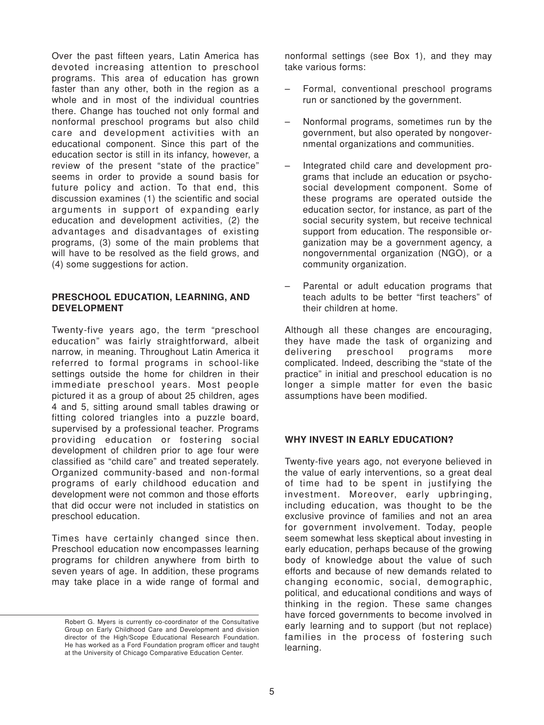Over the past fifteen years, Latin America has devoted increasing attention to preschool programs. This area of education has grown faster than any other, both in the region as a whole and in most of the individual countries there. Change has touched not only formal and nonformal preschool programs but also child care and development activities with an educational component. Since this part of the education sector is still in its infancy, however, a review of the present "state of the practice" seems in order to provide a sound basis for future policy and action. To that end, this discussion examines (1) the scientific and social arguments in support of expanding early education and development activities, (2) the advantages and disadvantages of existing programs, (3) some of the main problems that will have to be resolved as the field grows, and (4) some suggestions for action.

#### **PRESCHOOL EDUCATION, LEARNING, AND DEVELOPMENT**

Twenty-five years ago, the term "preschool education" was fairly straightforward, albeit narrow, in meaning. Throughout Latin America it referred to formal programs in school-like settings outside the home for children in their immediate preschool years. Most people pictured it as a group of about 25 children, ages 4 and 5, sitting around small tables drawing or fitting colored triangles into a puzzle board, supervised by a professional teacher. Programs providing education or fostering social development of children prior to age four were classified as "child care" and treated seperately. Organized community-based and non-formal programs of early childhood education and development were not common and those efforts that did occur were not included in statistics on preschool education.

Times have certainly changed since then. Preschool education now encompasses learning programs for children anywhere from birth to seven years of age. In addition, these programs may take place in a wide range of formal and nonformal settings (see Box 1), and they may take various forms:

- Formal, conventional preschool programs run or sanctioned by the government.
- Nonformal programs, sometimes run by the government, but also operated by nongovernmental organizations and communities.
- Integrated child care and development programs that include an education or psychosocial development component. Some of these programs are operated outside the education sector, for instance, as part of the social security system, but receive technical support from education. The responsible organization may be a government agency, a nongovernmental organization (NGO), or a community organization.
- Parental or adult education programs that teach adults to be better "first teachers" of their children at home.

Although all these changes are encouraging, they have made the task of organizing and delivering preschool programs more complicated. lndeed, describing the "state of the practice" in initial and preschool education is no longer a simple matter for even the basic assumptions have been modified.

# **WHY INVEST IN EARLY EDUCATION?**

Twenty-five years ago, not everyone believed in the value of early interventions, so a great deal of time had to be spent in justifying the investment. Moreover, early upbringing, including education, was thought to be the exclusive province of families and not an area for government involvement. Today, people seem somewhat less skeptical about investing in early education, perhaps because of the growing body of knowledge about the value of such efforts and because of new demands related to changing economic, social, demographic, political, and educational conditions and ways of thinking in the region. These same changes have forced governments to become involved in early learning and to support (but not replace) families in the process of fostering such learning.

Robert G. Myers is currently co-coordinator of the Consultative Group on Early Childhood Care and Development and division director of the High/Scope Educational Research Foundation. He has worked as a Ford Foundation program officer and taught at the University of Chicago Comparative Education Center.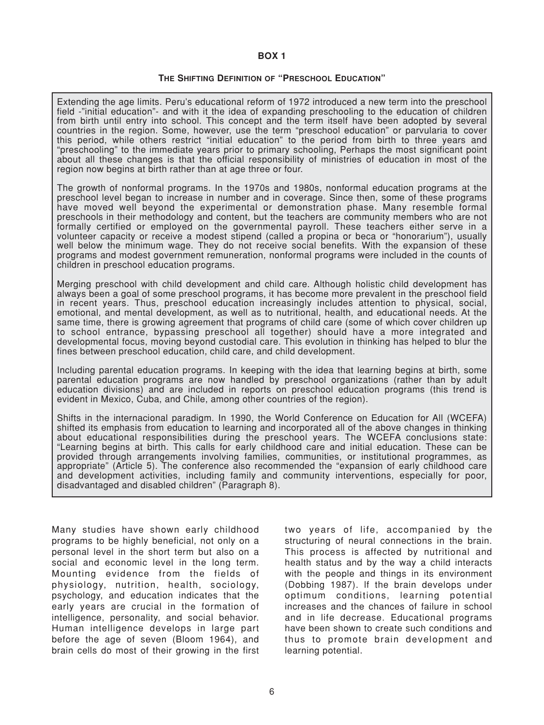#### **BOX 1**

#### **THE SHIFTING DEFINITION OF "PRESCHOOL EDUCATION"**

Extending the age limits. Peru's educational reform of 1972 introduced a new term into the preschool field -"initial education"- and with it the idea of expanding preschooling to the education of children from birth until entry into school. This concept and the term itself have been adopted by several countries in the region. Some, however, use the term "preschool education" or parvularia to cover this period, while others restrict "initial education" to the period from birth to three years and "preschooling" to the immediate years prior to primary schooling, Perhaps the most significant point about all these changes is that the official responsibility of ministries of education in most of the region now begins at birth rather than at age three or four.

The growth of nonformal programs. In the 1970s and 1980s, nonformal education programs at the preschool level began to increase in number and in coverage. Since then, some of these programs have moved well beyond the experimental or demonstration phase. Many resemble formal preschools in their methodology and content, but the teachers are community members who are not formally certified or employed on the governmental payroll. These teachers either serve in a volunteer capacity or receive a modest stipend (called a propina or beca or "honorarium"), usually well below the minimum wage. They do not receive social benefits. With the expansion of these programs and modest government remuneration, nonformal programs were included in the counts of children in preschool education programs.

Merging preschool with child development and child care. Although holistic child development has always been a goal of some preschool programs, it has become more prevalent in the preschool field in recent years. Thus, preschool education increasingly includes attention to physical, social, emotional, and mental development, as well as to nutritional, health, and educational needs. At the same time, there is growing agreement that programs of child care (some of which cover children up to school entrance, bypassing preschool all together) should have a more integrated and developmental focus, moving beyond custodial care. This evolution in thinking has helped to blur the fines between preschool education, child care, and child development.

Including parental education programs. In keeping with the idea that learning begins at birth, some parental education programs are now handled by preschool organizations (rather than by adult education divisions) and are included in reports on preschool education programs (this trend is evident in Mexico, Cuba, and Chile, among other countries of the region).

Shifts in the internacional paradigm. In 1990, the World Conference on Education for All (WCEFA) shifted its emphasis from education to learning and incorporated all of the above changes in thinking about educational responsibilities during the preschool years. The WCEFA conclusions state: "Learning begins at birth. This calls for early childhood care and initial education. These can be provided through arrangements involving families, communities, or institutional programmes, as appropriate" (Article 5). The conference also recommended the "expansion of early childhood care and development activities, including family and community interventions, especially for poor, disadvantaged and disabled children" (Paragraph 8).

Many studies have shown early childhood programs to be highly beneficial, not only on a personal level in the short term but also on a social and economic level in the long term. Mounting evidence from the fields of physiology, nutrition, health, sociology, psychology, and education indicates that the early years are crucial in the formation of intelligence, personality, and social behavior. Human intelligence develops in large part before the age of seven (Bloom 1964), and brain cells do most of their growing in the first

two years of life, accompanied by the structuring of neural connections in the brain. This process is affected by nutritional and health status and by the way a child interacts with the people and things in its environment (Dobbing 1987). lf the brain develops under optimum conditions, learning potential increases and the chances of failure in school and in life decrease. Educational programs have been shown to create such conditions and thus to promote brain development and learning potential.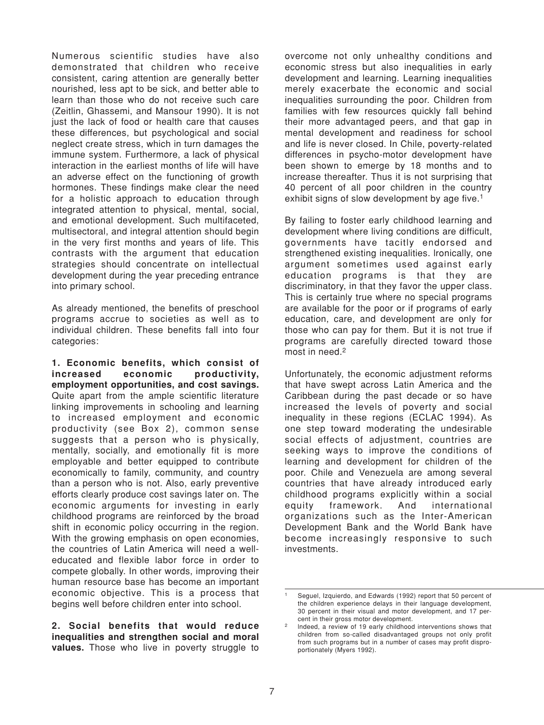Numerous scientific studies have also demonstrated that children who receive consistent, caring attention are generally better nourished, less apt to be sick, and better able to learn than those who do not receive such care (Zeitlin, Ghassemi, and Mansour 1990). lt is not just the lack of food or health care that causes these differences, but psychological and social neglect create stress, which in turn damages the immune system. Furthermore, a lack of physical interaction in the earliest months of life will have an adverse effect on the functioning of growth hormones. These findings make clear the need for a holistic approach to education through integrated attention to physical, mental, social, and emotional development. Such multifaceted, multisectoral, and integral attention should begin in the very first months and years of life. This contrasts with the argument that education strategies should concentrate on intellectual development during the year preceding entrance into primary school.

As already mentioned, the benefits of preschool programs accrue to societies as well as to individual children. These benefits fall into four categories:

**1. Economic benefits, which consist of increased economic productivity, employment opportunities, and cost savings.** Quite apart from the ample scientific literature linking improvements in schooling and learning to increased employment and economic productivity (see Box 2), common sense suggests that a person who is physically, mentally, socially, and emotionally fit is more employable and better equipped to contribute economically to family, community, and country than a person who is not. Also, early preventive efforts clearly produce cost savings later on. The economic arguments for investing in early childhood programs are reinforced by the broad shift in economic policy occurring in the region. With the growing emphasis on open economies, the countries of Latin America will need a welleducated and flexible labor force in order to compete globally. In other words, improving their human resource base has become an important economic objective. This is a process that begins well before children enter into school.

**2. Social benefits that would reduce inequalities and strengthen social and moral values.** Those who live in poverty struggle to overcome not only unhealthy conditions and economic stress but also inequalities in early development and learning. Learning inequalities merely exacerbate the economic and social inequalities surrounding the poor. Children from families with few resources quickly fall behind their more advantaged peers, and that gap in mental development and readiness for school and life is never closed. In Chile, poverty-related differences in psycho-motor development have been shown to emerge by 18 months and to increase thereafter. Thus it is not surprising that 40 percent of all poor children in the country exhibit signs of slow development by age five.<sup>1</sup>

By failing to foster early childhood learning and development where living conditions are difficult, governments have tacitly endorsed and strengthened existing inequalities. lronically, one argument sometimes used against early education programs is that they are discriminatory, in that they favor the upper class. This is certainly true where no special programs are available for the poor or if programs of early education, care, and development are only for those who can pay for them. But it is not true if programs are carefully directed toward those most in need.2

Unfortunately, the economic adjustment reforms that have swept across Latin America and the Caribbean during the past decade or so have increased the levels of poverty and social inequality in these regions (ECLAC 1994). As one step toward moderating the undesirable social effects of adjustment, countries are seeking ways to improve the conditions of learning and development for children of the poor. Chile and Venezuela are among several countries that have already introduced early childhood programs explicitly within a social equity framework. And international organizations such as the Inter-American Development Bank and the World Bank have become increasingly responsive to such investments.

Sequel, Izquierdo, and Edwards (1992) report that 50 percent of the children experience delays in their language development, 30 percent in their visual and motor development, and 17 percent in their gross motor development.

<sup>2</sup> lndeed, a review of 19 early childhood interventions shows that children from so-called disadvantaged groups not only profit from such programs but in a number of cases may profit disproportionately (Myers 1992).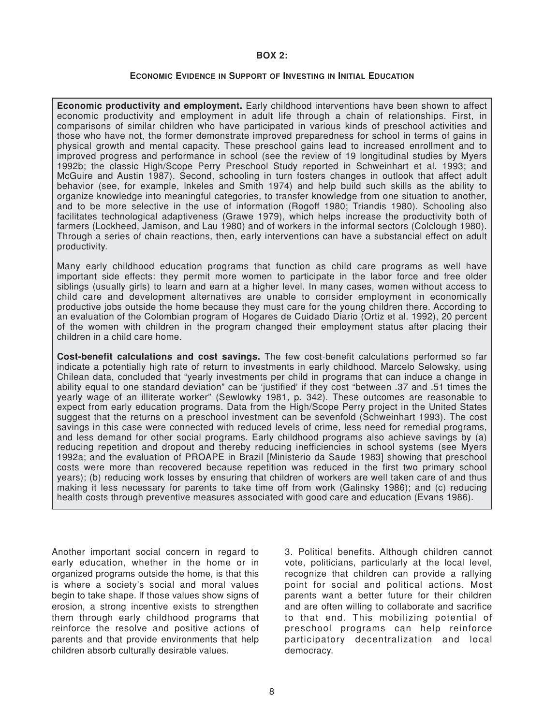#### **BOX 2:**

#### **ECONOMIC EVIDENCE IN SUPPORT OF INVESTING IN INITIAL EDUCATION**

**Economic productivity and employment.** Early childhood interventions have been shown to affect economic productivity and employment in adult life through a chain of relationships. First, in comparisons of similar children who have participated in various kinds of preschool activities and those who have not, the former demonstrate improved preparedness for school in terms of gains in physical growth and mental capacity. These preschool gains lead to increased enrollment and to improved progress and performance in school (see the review of 19 longitudinal studies by Myers 1992b; the classic High/Scope Perry Preschool Study reported in Schweinhart et al. 1993; and McGuire and Austin 1987). Second, schooling in turn fosters changes in outlook that affect adult behavior (see, for example, lnkeles and Smith 1974) and help build such skills as the ability to organize knowledge into meaningful categories, to transfer knowledge from one situation to another, and to be more selective in the use of information (Rogoff 1980; Triandis 1980). Schooling also facilitates technological adaptiveness (Grawe 1979), which helps increase the productivity both of farmers (Lockheed, Jamison, and Lau 1980) and of workers in the informal sectors (Colclough 1980). Through a series of chain reactions, then, early interventions can have a substancial effect on adult productivity.

Many early childhood education programs that function as child care programs as well have important side effects: they permit more women to participate in the labor force and free older siblings (usually girls) to learn and earn at a higher level. In many cases, women without access to child care and development alternatives are unable to consider employment in economically productive jobs outside the home because they must care for the young children there. According to an evaluation of the Colombian program of Hogares de Cuidado Diario (Ortiz et al. 1992), 20 percent of the women with children in the program changed their employment status after placing their children in a child care home.

**Cost-benefit calculations and cost savings.** The few cost-benefit calculations performed so far indicate a potentially high rate of return to investments in early childhood. Marcelo Selowsky, using Chilean data, concluded that "yearly investments per child in programs that can induce a change in ability equal to one standard deviation" can be 'justified' if they cost "between .37 and .51 times the yearly wage of an illiterate worker" (Sewlowky 1981, p. 342). These outcomes are reasonable to expect from early education programs. Data from the High/Scope Perry project in the United States suggest that the returns on a preschool investment can be sevenfold (Schweinhart 1993). The cost savings in this case were connected with reduced levels of crime, less need for remedial programs, and less demand for other social programs. Early childhood programs also achieve savings by (a) reducing repetition and dropout and thereby reducing inefficiencies in school systems (see Myers 1992a; and the evaluation of PROAPE in Brazil [Ministerio da Saude 1983] showing that preschool costs were more than recovered because repetition was reduced in the first two primary school years); (b) reducing work losses by ensuring that children of workers are well taken care of and thus making it less necessary for parents to take time off from work (Galinsky 1986); and (c) reducing health costs through preventive measures associated with good care and education (Evans 1986).

Another important social concern in regard to early education, whether in the home or in organized programs outside the home, is that this is where a society's social and moral values begin to take shape. lf those values show signs of erosion, a strong incentive exists to strengthen them through early childhood programs that reinforce the resolve and positive actions of parents and that provide environments that help children absorb culturally desirable values.

3. Political benefits. Although children cannot vote, politicians, particularly at the local level, recognize that children can provide a rallying point for social and political actions. Most parents want a better future for their children and are often willing to collaborate and sacrifice to that end. This mobilizing potential of preschool programs can help reinforce participatory decentralization and local democracy.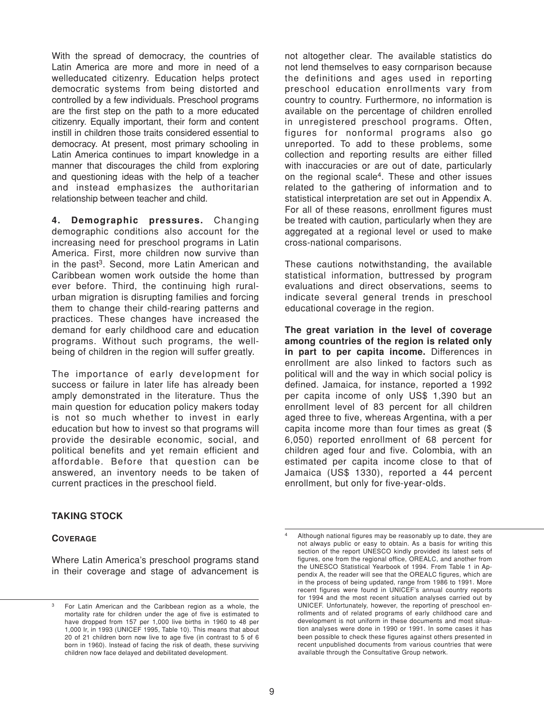With the spread of democracy, the countries of Latin America are more and more in need of a welleducated citizenry. Education helps protect democratic systems from being distorted and controlled by a few individuals. Preschool programs are the first step on the path to a more educated citizenry. Equally important, their form and content instill in children those traits considered essential to democracy. At present, most primary schooling in Latin America continues to impart knowledge in a manner that discourages the child from exploring and questioning ideas with the help of a teacher and instead emphasizes the authoritarian relationship between teacher and child.

**4. Demographic pressures.** Changing demographic conditions also account for the increasing need for preschool programs in Latin America. First, more children now survive than in the past<sup>3</sup>. Second, more Latin American and Caribbean women work outside the home than ever before. Third, the continuing high ruralurban migration is disrupting families and forcing them to change their child-rearing patterns and practices. These changes have increased the demand for early childhood care and education programs. Without such programs, the wellbeing of children in the region will suffer greatly.

The importance of early development for success or failure in later life has already been amply demonstrated in the literature. Thus the main question for education policy makers today is not so much whether to invest in early education but how to invest so that programs will provide the desirable economic, social, and political benefits and yet remain efficient and affordable. Before that question can be answered, an inventory needs to be taken of current practices in the preschool field.

not altogether clear. The available statistics do not lend themselves to easy cornparison because the definitions and ages used in reporting preschool education enrollments vary from country to country. Furthermore, no information is available on the percentage of children enrolled in unregistered preschool programs. Often, figures for nonformal programs also go unreported. To add to these problems, some collection and reporting results are either filled with inaccuracies or are out of date, particularly on the regional scale4. These and other issues related to the gathering of information and to statistical interpretation are set out in Appendix A. For all of these reasons, enrollment figures must be treated with caution, particularly when they are aggregated at a regional level or used to make cross-national comparisons.

These cautions notwithstanding, the available statistical information, buttressed by program evaluations and direct observations, seems to indicate several general trends in preschool educational coverage in the region.

**The great variation in the level of coverage among countries of the region is related only in part to per capita income.** Differences in enrollment are also linked to factors such as political will and the way in which social policy is defined. Jamaica, for instance, reported a 1992 per capita income of only US\$ 1,390 but an enrollment level of 83 percent for all children aged three to five, whereas Argentina, with a per capita income more than four times as great (\$ 6,050) reported enrollment of 68 percent for children aged four and five. Colombia, with an estimated per capita income close to that of Jamaica (US\$ 1330), reported a 44 percent enrollment, but only for five-year-olds.

# **TAKING STOCK**

# **COVERAGE**

Where Latin America's preschool programs stand in their coverage and stage of advancement is

For Latin American and the Caribbean region as a whole, the mortality rate for children under the age of five is estimated to have dropped from 157 per 1,000 live births in 1960 to 48 per 1,000 Ir, in 1993 (UNICEF 1995, Table 10). This means that about 20 of 21 children born now live to age five (in contrast to 5 of 6 born in 1960). lnstead of facing the risk of death, these surviving children now face delayed and debilitated development.

<sup>4</sup> Although national figures may be reasonably up to date, they are not always public or easy to obtain. As a basis for writing this section of the report UNESCO kindly provided its latest sets of figures, one from the regional office, OREALC, and another from the UNESCO Statistical Yearbook of 1994. From Table 1 in Appendix A, the reader will see that the OREALC figures, which are in the process of being updated, range from 1986 to 1991. More recent figures were found in UNICEF's annual country reports for 1994 and the most recent situation analyses carried out by UNICEF. Unfortunately, however, the reporting of preschool enrollments and of related programs of early childhood care and development is not uniform in these documents and most situation analyses were done in 1990 or 1991. In some cases it has been possible to check these figures against others presented in recent unpublished documents from various countries that were available through the Consultative Group network.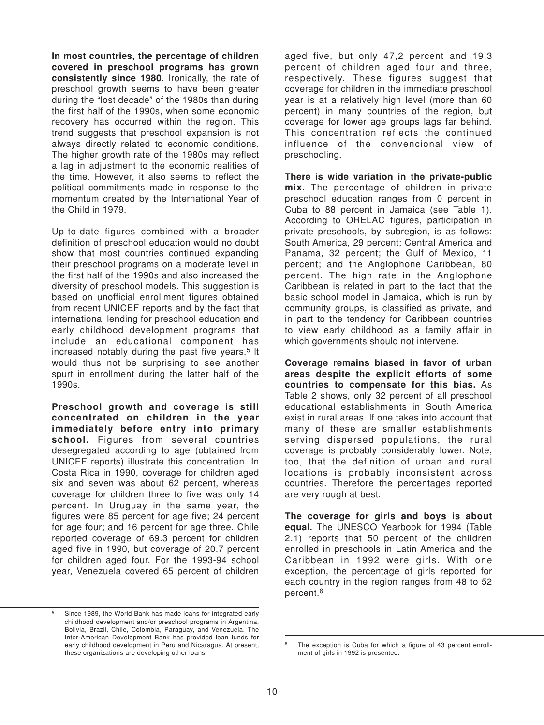**In most countries, the percentage of children covered in preschool programs has grown consistently since 1980.** Ironically, the rate of preschool growth seems to have been greater during the "lost decade" of the 1980s than during the first half of the 1990s, when some economic recovery has occurred within the region. This trend suggests that preschool expansion is not always directly related to economic conditions. The higher growth rate of the 1980s may reflect a lag in adjustment to the economic realities of the time. However, it also seems to reflect the political commitments made in response to the momentum created by the International Year of the Child in 1979.

Up-to-date figures combined with a broader definition of preschool education would no doubt show that most countries continued expanding their preschool programs on a moderate level in the first half of the 1990s and also increased the diversity of preschool models. This suggestion is based on unofficial enrollment figures obtained from recent UNICEF reports and by the fact that international lending for preschool education and early childhood development programs that include an educational component has increased notably during the past five years.<sup>5</sup> It would thus not be surprising to see another spurt in enrollment during the latter half of the 1990s.

**Preschool growth and coverage is still concentrated on children in the year immediately before entry into primary school.** Figures from several countries desegregated according to age (obtained from UNICEF reports) illustrate this concentration. In Costa Rica in 1990, coverage for children aged six and seven was about 62 percent, whereas coverage for children three to five was only 14 percent. In Uruguay in the same year, the figures were 85 percent for age five; 24 percent for age four; and 16 percent for age three. Chile reported coverage of 69.3 percent for children aged five in 1990, but coverage of 20.7 percent for children aged four. For the 1993-94 school year, Venezuela covered 65 percent of children

<sup>5</sup> Since 1989, the World Bank has made loans for integrated early childhood development and/or preschool programs in Argentina, Bolivia, Brazil, Chile, Colombia, Paraguay, and Venezuela. The Inter-American Development Bank has provided loan funds for early childhood development in Peru and Nicaragua. At present, these organizations are developing other loans.

aged five, but only 47,2 percent and 19.3 percent of children aged four and three, respectively. These figures suggest that coverage for children in the immediate preschool year is at a relatively high level (more than 60 percent) in many countries of the region, but coverage for lower age groups lags far behind. This concentration reflects the continued influence of the convencional view of preschooling.

**There is wide variation in the private-public mix.** The percentage of children in private preschool education ranges from 0 percent in Cuba to 88 percent in Jamaica (see Table 1). According to ORELAC figures, participation in private preschools, by subregion, is as follows: South America, 29 percent; Central America and Panama, 32 percent; the Gulf of Mexico, 11 percent; and the Anglophone Caribbean, 80 percent. The high rate in the Anglophone Caribbean is related in part to the fact that the basic school model in Jamaica, which is run by community groups, is classified as private, and in part to the tendency for Caribbean countries to view early childhood as a family affair in which governments should not intervene.

**Coverage remains biased in favor of urban areas despite the explicit efforts of some countries to compensate for this bias.** As Table 2 shows, only 32 percent of all preschool educational establishments in South America exist in rural areas. lf one takes into account that many of these are smaller establishments serving dispersed populations, the rural coverage is probably considerably lower. Note, too, that the definition of urban and rural locations is probably inconsistent across countries. Therefore the percentages reported are very rough at best.

**The coverage for girls and boys is about equal.** The UNESCO Yearbook for 1994 (Table 2.1) reports that 50 percent of the children enrolled in preschools in Latin America and the Caribbean in 1992 were girls. With one exception, the percentage of girls reported for each country in the region ranges from 48 to 52 percent.6

<sup>&</sup>lt;sup>6</sup> The exception is Cuba for which a figure of 43 percent enrollment of girls in 1992 is presented.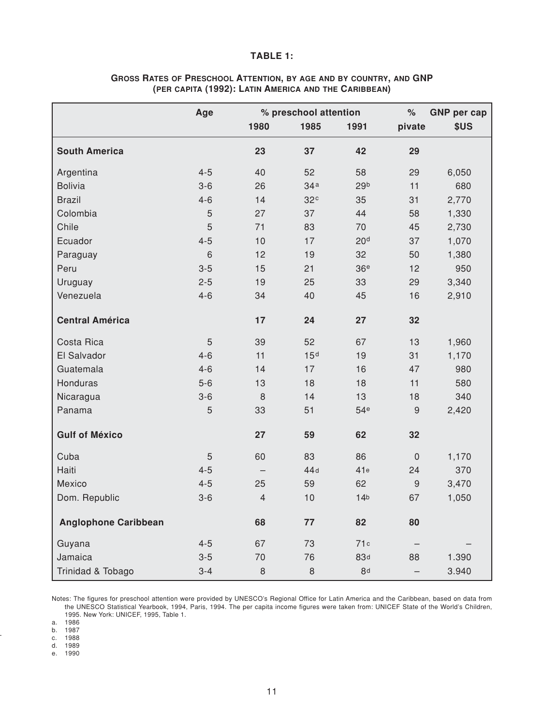#### **TABLE 1:**

|                             | Age            | % preschool attention |                 |                 | $\%$                | <b>GNP</b> per cap |
|-----------------------------|----------------|-----------------------|-----------------|-----------------|---------------------|--------------------|
|                             |                | 1980                  | 1985            | 1991            | pivate              | \$US               |
| <b>South America</b>        |                | 23                    | 37              | 42              | 29                  |                    |
| Argentina                   | $4 - 5$        | 40                    | 52              | 58              | 29                  | 6,050              |
| <b>Bolivia</b>              | $3-6$          | 26                    | 34a             | 29 <sub>b</sub> | 11                  | 680                |
| <b>Brazil</b>               | $4 - 6$        | 14                    | 32 <sup>c</sup> | 35              | 31                  | 2,770              |
| Colombia                    | 5              | 27                    | 37              | 44              | 58                  | 1,330              |
| Chile                       | 5              | 71                    | 83              | 70              | 45                  | 2,730              |
| Ecuador                     | $4 - 5$        | 10                    | 17              | 20 <sup>d</sup> | 37                  | 1,070              |
| Paraguay                    | 6              | 12                    | 19              | 32              | 50                  | 1,380              |
| Peru                        | $3 - 5$        | 15                    | 21              | 36 <sup>e</sup> | 12                  | 950                |
| Uruguay                     | $2 - 5$        | 19                    | 25              | 33              | 29                  | 3,340              |
| Venezuela                   | $4 - 6$        | 34                    | 40              | 45              | 16                  | 2,910              |
| <b>Central América</b>      |                | 17                    | 24              | 27              | 32                  |                    |
| Costa Rica                  | $\overline{5}$ | 39                    | 52              | 67              | 13                  | 1,960              |
| El Salvador                 | $4 - 6$        | 11                    | 15 <sup>d</sup> | 19              | 31                  | 1,170              |
| Guatemala                   | $4 - 6$        | 14                    | 17              | 16              | 47                  | 980                |
| Honduras                    | $5-6$          | 13                    | 18              | 18              | 11                  | 580                |
| Nicaragua                   | $3 - 6$        | $\,8\,$               | 14              | 13              | 18                  | 340                |
| Panama                      | 5              | 33                    | 51              | 54 <sup>e</sup> | $\overline{9}$      | 2,420              |
| <b>Gulf of México</b>       |                | 27                    | 59              | 62              | 32                  |                    |
| Cuba                        | $\overline{5}$ | 60                    | 83              | 86              | $\mathsf{O}\xspace$ | 1,170              |
| Haiti                       | $4 - 5$        |                       | 44d             | 41e             | 24                  | 370                |
| Mexico                      | $4 - 5$        | 25                    | 59              | 62              | $\mathsf 9$         | 3,470              |
| Dom. Republic               | $3 - 6$        | $\overline{4}$        | 10              | 14 <sub>b</sub> | 67                  | 1,050              |
| <b>Anglophone Caribbean</b> |                | 68                    | 77              | 82              | 80                  |                    |
| Guyana                      | $4 - 5$        | 67                    | 73              | 71c             |                     |                    |
| Jamaica                     | $3-5$          | 70                    | 76              | 83d             | 88                  | 1.390              |
| Trinidad & Tobago           | $3 - 4$        | $\,8\,$               | $\,8\,$         | 8d              |                     | 3.940              |

# **GROSS RATES OF PRESCHOOL ATTENTION, BY AGE AND BY COUNTRY, AND GNP (PER CAPITA (1992): LATIN AMERICA AND THE CARIBBEAN)**

Notes: The figures for preschool attention were provided by UNESCO's Regional Office for Latin America and the Caribbean, based on data from the UNESCO Statistical Yearbook, 1994, Paris, 1994. The per capita income figures were taken from: UNICEF State of the World's Children, 1995. New York: UNICEF, 1995, Table 1.

a. 1986

b. 1987

c. 1988 d. 1989

e. 1990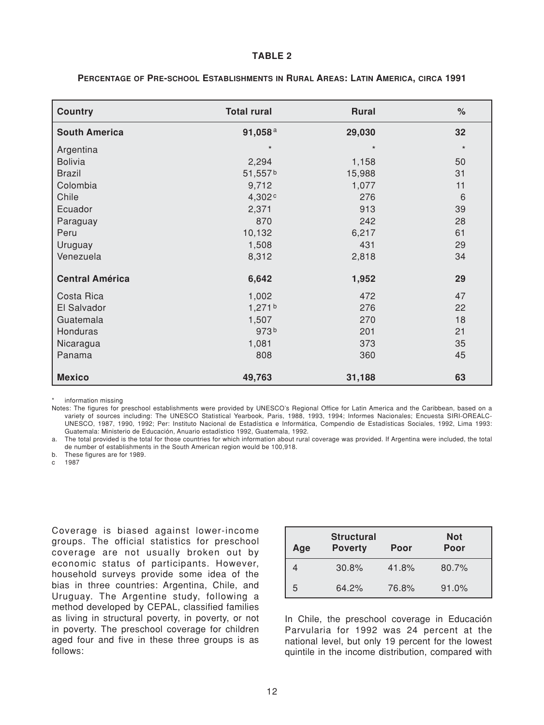#### **TABLE 2**

| <b>Country</b>         | <b>Total rural</b> | <b>Rural</b> | $\%$    |
|------------------------|--------------------|--------------|---------|
| <b>South America</b>   | 91,058 $a$         | 29,030       | 32      |
| Argentina              | $\star$            | $\star$      | $\star$ |
| <b>Bolivia</b>         | 2,294              | 1,158        | 50      |
| <b>Brazil</b>          | 51,557b            | 15,988       | 31      |
| Colombia               | 9,712              | 1,077        | 11      |
| Chile                  | 4,302 <sup>c</sup> | 276          | 6       |
| Ecuador                | 2,371              | 913          | 39      |
| Paraguay               | 870                | 242          | 28      |
| Peru                   | 10,132             | 6,217        | 61      |
| Uruguay                | 1,508              | 431          | 29      |
| Venezuela              | 8,312              | 2,818        | 34      |
| <b>Central América</b> | 6,642              | 1,952        | 29      |
| Costa Rica             | 1,002              | 472          | 47      |
| El Salvador            | 1,271 <sup>b</sup> | 276          | 22      |
| Guatemala              | 1,507              | 270          | 18      |
| Honduras               | 973b               | 201          | 21      |
| Nicaragua              | 1,081              | 373          | 35      |
| Panama                 | 808                | 360          | 45      |
| <b>Mexico</b>          | 49,763             | 31,188       | 63      |

#### **PERCENTAGE OF PRE-SCHOOL ESTABLISHMENTS IN RURAL AREAS: LATIN AMERICA, CIRCA 1991**

information missing

Notes: The figures for preschool establishments were provided by UNESCO's Regional Office for Latin America and the Caribbean, based on a variety of sources including: The UNESCO Statistical Yearbook, Paris, 1988, 1993, 1994; Informes Nacionales; Encuesta SIRI-OREALC-UNESCO, 1987, 1990, 1992; Per: Instituto Nacional de Estadística e Informática, Compendio de Estadísticas Sociales, 1992, Lima 1993: Guatemala: Ministerio de Educación, Anuario estadístico 1992, Guatemala, 1992.

a. The total provided is the total for those countries for which information about rural coverage was provided. If Argentina were included, the total de number of establishments in the South American region would be 100,918.

b. These figures are for 1989.

c 1987

Coverage is biased against lower-income groups. The official statistics for preschool coverage are not usually broken out by economic status of participants. However, household surveys provide some idea of the bias in three countries: Argentina, Chile, and Uruguay. The Argentine study, following a method developed by CEPAL, classified families as living in structural poverty, in poverty, or not in poverty. The preschool coverage for children aged four and five in these three groups is as follows:

| Age | <b>Structural</b><br><b>Poverty</b> | Poor  | <b>Not</b><br>Poor |
|-----|-------------------------------------|-------|--------------------|
|     | 30.8%                               | 41.8% | 80.7%              |
| 5   | 64.2%                               | 76.8% | 91.0%              |

In Chile, the preschool coverage in Educación Parvularia for 1992 was 24 percent at the national level, but only 19 percent for the lowest quintile in the income distribution, compared with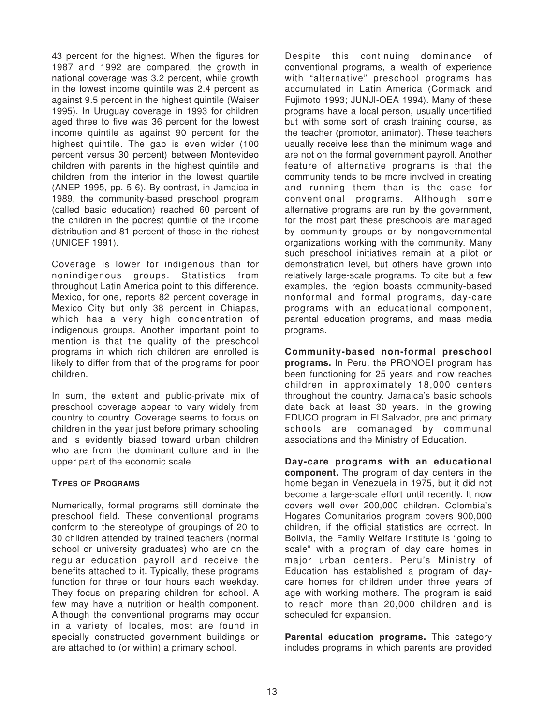43 percent for the highest. When the figures for 1987 and 1992 are compared, the growth in national coverage was 3.2 percent, while growth in the lowest income quintile was 2.4 percent as against 9.5 percent in the highest quintile (Waiser 1995). In Uruguay coverage in 1993 for children aged three to five was 36 percent for the lowest income quintile as against 90 percent for the highest quintile. The gap is even wider (100 percent versus 30 percent) between Montevideo children with parents in the highest quintile and children from the interior in the lowest quartile (ANEP 1995, pp. 5-6). By contrast, in Jamaica in 1989, the community-based preschool program (called basic education) reached 60 percent of the children in the poorest quintile of the income distribution and 81 percent of those in the richest (UNICEF 1991).

Coverage is lower for indigenous than for nonindigenous groups. Statistics from throughout Latin America point to this difference. Mexico, for one, reports 82 percent coverage in Mexico City but only 38 percent in Chiapas, which has a very high concentration of indigenous groups. Another important point to mention is that the quality of the preschool programs in which rich children are enrolled is likely to differ from that of the programs for poor children.

In sum, the extent and public-private mix of preschool coverage appear to vary widely from country to country. Coverage seems to focus on children in the year just before primary schooling and is evidently biased toward urban children who are from the dominant culture and in the upper part of the economic scale.

#### **TYPES OF PROGRAMS**

Numerically, formal programs still dominate the preschool field. These conventional programs conform to the stereotype of groupings of 20 to 30 children attended by trained teachers (normal school or university graduates) who are on the regular education payroll and receive the benefits attached to it. Typically, these programs function for three or four hours each weekday. They focus on preparing children for school. A few may have a nutrition or health component. Although the conventional programs may occur in a variety of locales, most are found in specially constructed government buildings or are attached to (or within) a primary school.

Despite this continuing dominance of conventional programs, a wealth of experience with "alternative" preschool programs has accumulated in Latin America (Cormack and Fujimoto 1993; JUNJI-OEA 1994). Many of these programs have a local person, usually uncertified but with some sort of crash training course, as the teacher (promotor, animator). These teachers usually receive less than the minimum wage and are not on the formal government payroll. Another feature of alternative programs is that the community tends to be more involved in creating and running them than is the case for conventional programs. Although some alternative programs are run by the government, for the most part these preschools are managed by community groups or by nongovernmental organizations working with the community. Many such preschool initiatives remain at a pilot or demonstration level, but others have grown into relatively large-scale programs. To cite but a few examples, the region boasts community-based nonformal and formal programs, day-care programs with an educational component, parental education programs, and mass media programs.

**Community-based non-formal preschool programs.** In Peru, the PRONOEI program has been functioning for 25 years and now reaches children in approximately 18,000 centers throughout the country. Jamaica's basic schools date back at least 30 years. In the growing EDUCO program in El Salvador, pre and primary schools are comanaged by communal associations and the Ministry of Education.

**Day-care programs with an educational component.** The program of day centers in the home began in Venezuela in 1975, but it did not become a large-scale effort until recently. lt now covers well over 200,000 children. Colombia's Hogares Comunitarios program covers 900,000 children, if the official statistics are correct. In Bolivia, the Family Welfare Institute is "going to scale" with a program of day care homes in major urban centers. Peru's Ministry of Education has established a program of daycare homes for children under three years of age with working mothers. The program is said to reach more than 20,000 children and is scheduled for expansion.

**Parental education programs.** This category includes programs in which parents are provided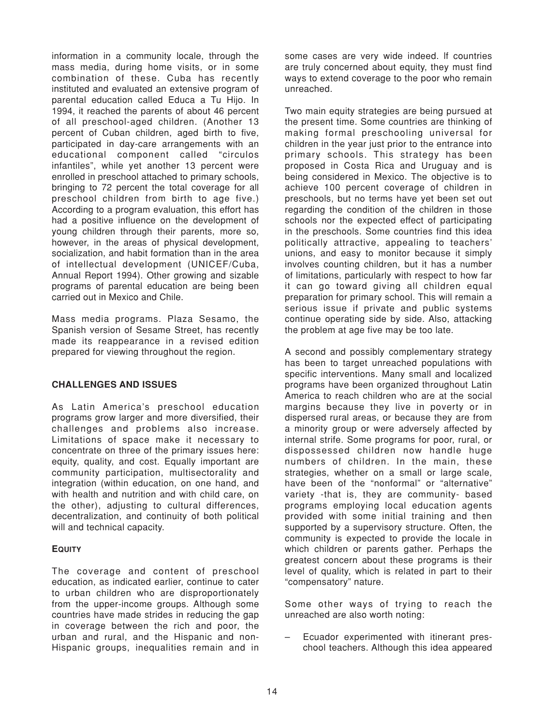information in a community locale, through the mass media, during home visits, or in some combination of these. Cuba has recently instituted and evaluated an extensive program of parental education called Educa a Tu Hijo. In 1994, it reached the parents of about 46 percent of all preschool-aged children. (Another 13 percent of Cuban children, aged birth to five, participated in day-care arrangements with an educational component called "circulos infantiles", while yet another 13 percent were enrolled in preschool attached to primary schools, bringing to 72 percent the total coverage for all preschool children from birth to age five.) According to a program evaluation, this effort has had a positive influence on the development of young children through their parents, more so, however, in the areas of physical development, socialization, and habit formation than in the area of intellectual development (UNICEF/Cuba, Annual Report 1994). Other growing and sizable programs of parental education are being been carried out in Mexico and Chile.

Mass media programs. Plaza Sesamo, the Spanish version of Sesame Street, has recently made its reappearance in a revised edition prepared for viewing throughout the region.

# **CHALLENGES AND ISSUES**

As Latin America's preschool education programs grow larger and more diversified, their challenges and problems also increase. Limitations of space make it necessary to concentrate on three of the primary issues here: equity, quality, and cost. Equally important are community participation, multisectorality and integration (within education, on one hand, and with health and nutrition and with child care, on the other), adjusting to cultural differences, decentralization, and continuity of both political will and technical capacity.

#### **EQUITY**

The coverage and content of preschool education, as indicated earlier, continue to cater to urban children who are disproportionately from the upper-income groups. Although some countries have made strides in reducing the gap in coverage between the rich and poor, the urban and rural, and the Hispanic and non-Hispanic groups, inequalities remain and in some cases are very wide indeed. lf countries are truly concerned about equity, they must find ways to extend coverage to the poor who remain unreached.

Two main equity strategies are being pursued at the present time. Some countries are thinking of making formal preschooling universal for children in the year just prior to the entrance into primary schools. This strategy has been proposed in Costa Rica and Uruguay and is being considered in Mexico. The objective is to achieve 100 percent coverage of children in preschools, but no terms have yet been set out regarding the condition of the children in those schools nor the expected effect of participating in the preschools. Some countries find this idea politically attractive, appealing to teachers' unions, and easy to monitor because it simply involves counting children, but it has a number of limitations, particularly with respect to how far it can go toward giving all children equal preparation for primary school. This will remain a serious issue if private and public systems continue operating side by side. Also, attacking the problem at age five may be too late.

A second and possibly complementary strategy has been to target unreached populations with specific interventions. Many small and localized programs have been organized throughout Latin America to reach children who are at the social margins because they live in poverty or in dispersed rural areas, or because they are from a minority group or were adversely affected by internal strife. Some programs for poor, rural, or dispossessed children now handle huge numbers of children. In the main, these strategies, whether on a small or large scale, have been of the "nonformal" or "alternative" variety -that is, they are community- based programs employing local education agents provided with some initial training and then supported by a supervisory structure. Often, the community is expected to provide the locale in which children or parents gather. Perhaps the greatest concern about these programs is their level of quality, which is related in part to their "compensatory" nature.

Some other ways of trying to reach the unreached are also worth noting:

– Ecuador experimented with itinerant preschool teachers. Although this idea appeared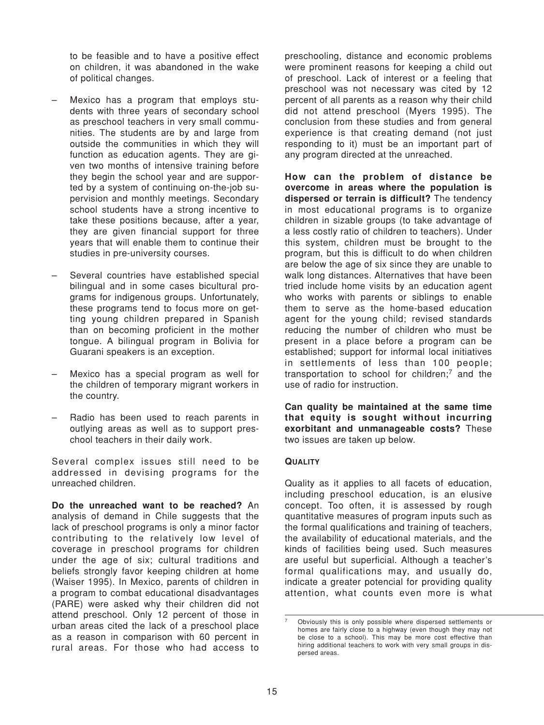to be feasible and to have a positive effect on children, it was abandoned in the wake of political changes.

- Mexico has a program that employs students with three years of secondary school as preschool teachers in very small communities. The students are by and large from outside the communities in which they will function as education agents. They are given two months of intensive training before they begin the school year and are supported by a system of continuing on-the-job supervision and monthly meetings. Secondary school students have a strong incentive to take these positions because, after a year, they are given financial support for three years that will enable them to continue their studies in pre-university courses.
- Several countries have established special bilingual and in some cases bicultural programs for indigenous groups. Unfortunately, these programs tend to focus more on getting young children prepared in Spanish than on becoming proficient in the mother tongue. A bilingual program in Bolivia for Guarani speakers is an exception.
- Mexico has a special program as well for the children of temporary migrant workers in the country.
- Radio has been used to reach parents in outlying areas as well as to support preschool teachers in their daily work.

Several complex issues still need to be addressed in devising programs for the unreached children.

**Do the unreached want to be reached?** An analysis of demand in Chile suggests that the lack of preschool programs is only a minor factor contributing to the relatively low level of coverage in preschool programs for children under the age of six; cultural traditions and beliefs strongly favor keeping children at home (Waiser 1995). In Mexico, parents of children in a program to combat educational disadvantages (PARE) were asked why their children did not attend preschool. Only 12 percent of those in urban areas cited the lack of a preschool place as a reason in comparison with 60 percent in rural areas. For those who had access to preschooling, distance and economic problems were prominent reasons for keeping a child out of preschool. Lack of interest or a feeling that preschool was not necessary was cited by 12 percent of all parents as a reason why their child did not attend preschool (Myers 1995). The conclusion from these studies and from general experience is that creating demand (not just responding to it) must be an important part of any program directed at the unreached.

**How can the problem of distance be overcome in areas where the population is dispersed or terrain is difficult?** The tendency in most educational programs is to organize children in sizable groups (to take advantage of a less costly ratio of children to teachers). Under this system, children must be brought to the program, but this is difficult to do when children are below the age of six since they are unable to walk long distances. Alternatives that have been tried include home visits by an education agent who works with parents or siblings to enable them to serve as the home-based education agent for the young child; revised standards reducing the number of children who must be present in a place before a program can be established; support for informal local initiatives in settlements of less than 100 people; transportation to school for children;7 and the use of radio for instruction.

**Can quality be maintained at the same time that equity is sought without incurring exorbitant and unmanageable costs?** These two issues are taken up below.

#### **QUALITY**

Quality as it applies to all facets of education, including preschool education, is an elusive concept. Too often, it is assessed by rough quantitative measures of program inputs such as the formal qualifications and training of teachers, the availability of educational materials, and the kinds of facilities being used. Such measures are useful but superficial. Although a teacher's formal qualifications may, and usually do, indicate a greater potencial for providing quality attention, what counts even more is what

<sup>7</sup> Obviously this is only possible where dispersed settlements or homes are fairly close to a highway (even though they may not be close to a school). This may be more cost effective than hiring additional teachers to work with very small groups in dispersed areas.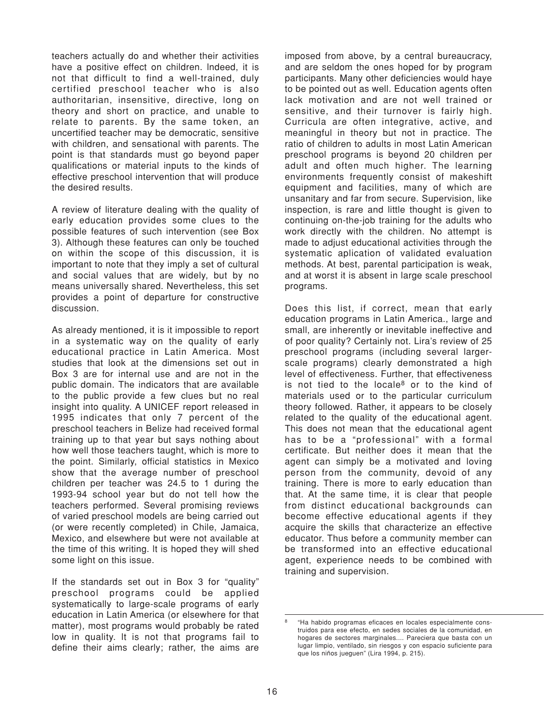teachers actually do and whether their activities have a positive effect on children. lndeed, it is not that difficult to find a well-trained, duly certified preschool teacher who is also authoritarian, insensitive, directive, long on theory and short on practice, and unable to relate to parents. By the same token, an uncertified teacher may be democratic, sensitive with children, and sensational with parents. The point is that standards must go beyond paper qualifications or material inputs to the kinds of effective preschool intervention that will produce the desired results.

A review of literature dealing with the quality of early education provides some clues to the possible features of such intervention (see Box 3). Although these features can only be touched on within the scope of this discussion, it is important to note that they imply a set of cultural and social values that are widely, but by no means universally shared. Nevertheless, this set provides a point of departure for constructive discussion.

As already mentioned, it is it impossible to report in a systematic way on the quality of early educational practice in Latin America. Most studies that look at the dimensions set out in Box 3 are for internal use and are not in the public domain. The indicators that are available to the public provide a few clues but no real insight into quality. A UNICEF report released in 1995 indicates that only 7 percent of the preschool teachers in Belize had received formal training up to that year but says nothing about how well those teachers taught, which is more to the point. Similarly, official statistics in Mexico show that the average number of preschool children per teacher was 24.5 to 1 during the 1993-94 school year but do not tell how the teachers performed. Several promising reviews of varied preschool models are being carried out (or were recently completed) in Chile, Jamaica, Mexico, and elsewhere but were not available at the time of this writing. lt is hoped they will shed some light on this issue.

If the standards set out in Box 3 for "quality" preschool programs could be applied systematically to large-scale programs of early education in Latin America (or elsewhere for that matter), most programs would probably be rated low in quality. lt is not that programs fail to define their aims clearly; rather, the aims are imposed from above, by a central bureaucracy, and are seldom the ones hoped for by program participants. Many other deficiencies would haye to be pointed out as well. Education agents often lack motivation and are not well trained or sensitive, and their turnover is fairly high. Curricula are often integrative, active, and meaningful in theory but not in practice. The ratio of children to adults in most Latin American preschool programs is beyond 20 children per adult and often much higher. The learning environments frequently consist of makeshift equipment and facilities, many of which are unsanitary and far from secure. Supervision, like inspection, is rare and little thought is given to continuing on-the-job training for the adults who work directly with the children. No attempt is made to adjust educational activities through the systematic aplication of validated evaluation methods. At best, parental participation is weak, and at worst it is absent in large scale preschool programs.

Does this list, if correct, mean that early education programs in Latin America., large and small, are inherently or inevitable ineffective and of poor quality? Certainly not. Lira's review of 25 preschool programs (including several largerscale programs) clearly demonstrated a high level of effectiveness. Further, that effectiveness is not tied to the locale<sup>8</sup> or to the kind of materials used or to the particular curriculum theory followed. Rather, it appears to be closely related to the quality of the educational agent. This does not mean that the educational agent has to be a "professional" with a formal certificate. But neither does it mean that the agent can simply be a motivated and loving person from the community, devoid of any training. There is more to early education than that. At the same time, it is clear that people from distinct educational backgrounds can become effective educational agents if they acquire the skills that characterize an effective educator. Thus before a community member can be transformed into an effective educational agent, experience needs to be combined with training and supervision.

<sup>&</sup>quot;Ha habido programas eficaces en locales especialmente construidos para ese efecto, en sedes sociales de la comunidad, en hogares de sectores marginales.... Pareciera que basta con un lugar limpio, ventilado, sin riesgos y con espacio suficiente para que los niños jueguen" (Lira 1994, p. 215).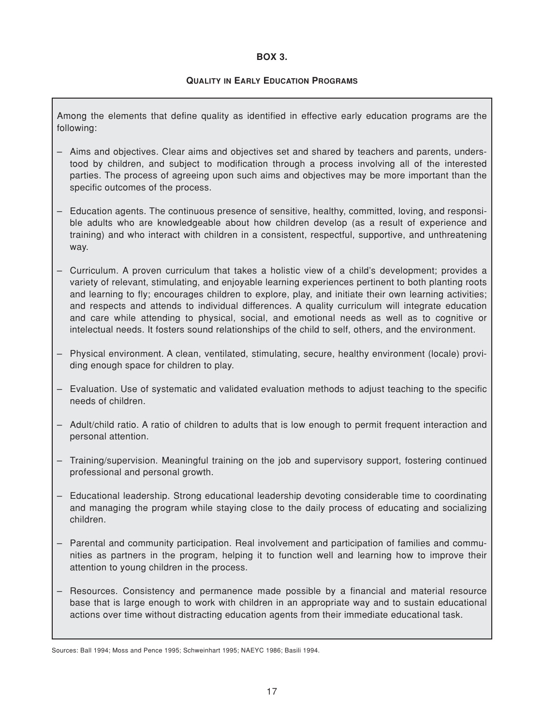#### **BOX 3.**

#### **QUALITY IN EARLY EDUCATION PROGRAMS**

Among the elements that define quality as identified in effective early education programs are the following:

- Aims and objectives. Clear aims and objectives set and shared by teachers and parents, understood by children, and subject to modification through a process involving all of the interested parties. The process of agreeing upon such aims and objectives may be more important than the specific outcomes of the process.
- Education agents. The continuous presence of sensitive, healthy, committed, loving, and responsible adults who are knowledgeable about how children develop (as a result of experience and training) and who interact with children in a consistent, respectful, supportive, and unthreatening way.
- Curriculum. A proven curriculum that takes a holistic view of a child's development; provides a variety of relevant, stimulating, and enjoyable learning experiences pertinent to both planting roots and learning to fly; encourages children to explore, play, and initiate their own learning activities; and respects and attends to individual differences. A quality curriculum will integrate education and care while attending to physical, social, and emotional needs as well as to cognitive or intelectual needs. It fosters sound relationships of the child to self, others, and the environment.
- Physical environment. A clean, ventilated, stimulating, secure, healthy environment (locale) providing enough space for children to play.
- Evaluation. Use of systematic and validated evaluation methods to adjust teaching to the specific needs of children.
- Adult/child ratio. A ratio of children to adults that is low enough to permit frequent interaction and personal attention.
- Training/supervision. Meaningful training on the job and supervisory support, fostering continued professional and personal growth.
- Educational leadership. Strong educational leadership devoting considerable time to coordinating and managing the program while staying close to the daily process of educating and socializing children.
- Parental and community participation. Real involvement and participation of families and communities as partners in the program, helping it to function well and learning how to improve their attention to young children in the process.
- Resources. Consistency and permanence made possible by a financial and material resource base that is large enough to work with children in an appropriate way and to sustain educational actions over time without distracting education agents from their immediate educational task.

Sources: Ball 1994; Moss and Pence 1995; Schweinhart 1995; NAEYC 1986; Basili 1994.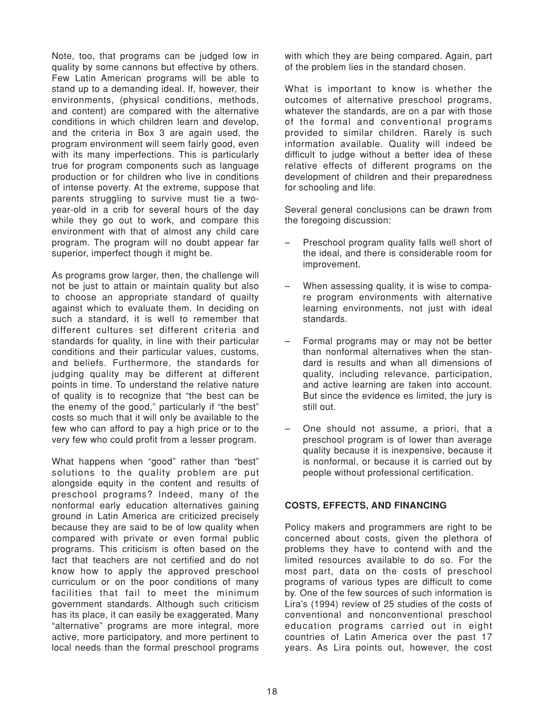Note, too, that programs can be judged low in quality by some cannons but effective by others. Few Latin American programs will be able to stand up to a demanding ideal. If, however, their environments, (physical conditions, methods, and content) are compared with the alternative conditions in which children learn and develop, and the criteria in Box 3 are again used, the program environment will seem fairly good, even with its many imperfections. This is particularly true for program components such as language production or for children who live in conditions of intense poverty. At the extreme, suppose that parents struggling to survive must tie a twoyear-old in a crib for several hours of the day while they go out to work, and compare this environment with that of almost any child care program. The program will no doubt appear far superior, imperfect though it might be.

As programs grow larger, then, the challenge will not be just to attain or maintain quality but also to choose an appropriate standard of quailty against which to evaluate them. In deciding on such a standard, it is well to remember that different cultures set different criteria and standards for quality, in line with their particular conditions and their particular values, customs, and beliefs. Furthermore, the standards for judging quality may be different at different points in time. To understand the relative nature of quality is to recognize that "the best can be the enemy of the good," particularly if "the best" costs so much that it will only be available to the few who can afford to pay a high price or to the very few who could profit from a lesser program.

What happens when "good" rather than "best" solutions to the quality problem are put alongside equity in the content and results of preschool programs? lndeed, many of the nonformal early education alternatives gaining ground in Latin America are criticized precisely because they are said to be of low quality when compared with private or even formal public programs. This criticism is often based on the fact that teachers are not certified and do not know how to apply the approved preschool curriculum or on the poor conditions of many facilities that fail to meet the minimum government standards. Although such criticism has its place, it can easily be exaggerated. Many "alternative" programs are more integral, more active, more participatory, and more pertinent to local needs than the formal preschool programs

with which they are being compared. Again, part of the problem lies in the standard chosen.

What is important to know is whether the outcomes of alternative preschool programs, whatever the standards, are on a par with those of the formal and conventional programs provided to similar children. Rarely is such information available. Quality will indeed be difficult to judge without a better idea of these relative effects of different programs on the development of children and their preparedness for schooling and life.

Several general conclusions can be drawn from the foregoing discussion:

- Preschool program quality falls well short of the ideal, and there is considerable room for improvement.
- When assessing quality, it is wise to compare program environments with alternative learning environments, not just with ideal standards.
- Formal programs may or may not be better than nonformal alternatives when the standard is results and when all dimensions of quality, including relevance, participation, and active learning are taken into account. But since the evidence es limited, the jury is still out.
- One should not assume, a priori, that a preschool program is of lower than average quality because it is inexpensive, because it is nonformal, or because it is carried out by people without professional certification.

# **COSTS, EFFECTS, AND FINANCING**

Policy makers and programmers are right to be concerned about costs, given the plethora of problems they have to contend with and the limited resources available to do so. For the most part, data on the costs of preschool programs of various types are difficult to come by. One of the few sources of such information is Lira's (1994) review of 25 studies of the costs of conventional and nonconventional preschool education programs carried out in eight countries of Latin America over the past 17 years. As Lira points out, however, the cost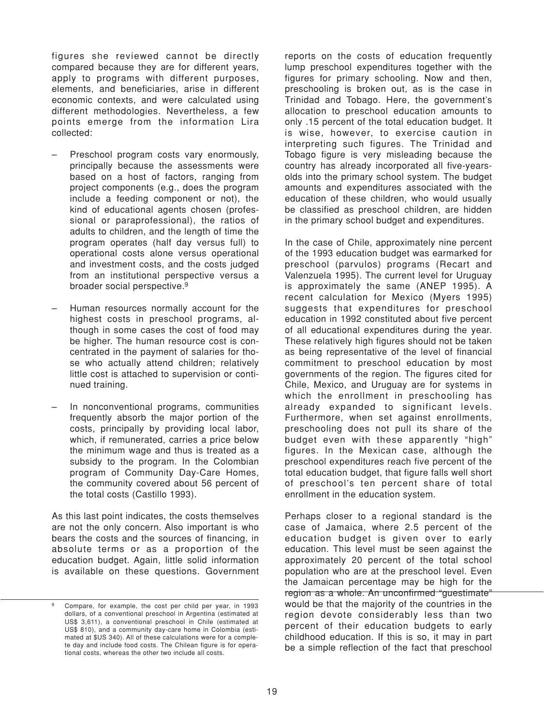figures she reviewed cannot be directly compared because they are for different years, apply to programs with different purposes, elements, and beneficiaries, arise in different economic contexts, and were calculated using different methodologies. Nevertheless, a few points emerge from the information Lira collected:

- Preschool program costs vary enormously, principally because the assessments were based on a host of factors, ranging from project components (e.g., does the program include a feeding component or not), the kind of educational agents chosen (professional or paraprofessional), the ratios of adults to children, and the length of time the program operates (half day versus full) to operational costs alone versus operational and investment costs, and the costs judged from an institutional perspective versus a broader social perspective.9
- Human resources normally account for the highest costs in preschool programs, although in some cases the cost of food may be higher. The human resource cost is concentrated in the payment of salaries for those who actually attend children; relatively little cost is attached to supervision or continued training.
- In nonconventional programs, communities frequently absorb the major portion of the costs, principally by providing local labor, which, if remunerated, carries a price below the minimum wage and thus is treated as a subsidy to the program. In the Colombian program of Community Day-Care Homes, the community covered about 56 percent of the total costs (Castillo 1993).

As this last point indicates, the costs themselves are not the only concern. Also important is who bears the costs and the sources of financing, in absolute terms or as a proportion of the education budget. Again, little solid information is available on these questions. Government reports on the costs of education frequently lump preschool expenditures together with the figures for primary schooling. Now and then, preschooling is broken out, as is the case in Trinidad and Tobago. Here, the government's allocation to preschool education amounts to only .15 percent of the total education budget. It is wise, however, to exercise caution in interpreting such figures. The Trinidad and Tobago figure is very misleading because the country has already incorporated all five-yearsolds into the primary school system. The budget amounts and expenditures associated with the education of these children, who would usually be classified as preschool children, are hidden in the primary school budget and expenditures.

In the case of Chile, approximately nine percent of the 1993 education budget was earmarked for preschool (parvulos) programs (Recart and Valenzuela 1995). The current level for Uruguay is approximately the same (ANEP 1995). A recent calculation for Mexico (Myers 1995) suggests that expenditures for preschool education in 1992 constituted about five percent of all educational expenditures during the year. These relatively high figures should not be taken as being representative of the level of financial commitment to preschool education by most governments of the region. The figures cited for Chile, Mexico, and Uruguay are for systems in which the enrollment in preschooling has already expanded to significant levels. Furthermore, when set against enrollments, preschooling does not pull its share of the budget even with these apparently "high" figures. In the Mexican case, although the preschool expenditures reach five percent of the total education budget, that figure falls well short of preschool's ten percent share of total enrollment in the education system.

Perhaps closer to a regional standard is the case of Jamaica, where 2.5 percent of the education budget is given over to early education. This level must be seen against the approximately 20 percent of the total school population who are at the preschool level. Even the Jamaican percentage may be high for the region as a whole. An unconfirmed "guestimate" would be that the majority of the countries in the region devote considerably less than two percent of their education budgets to early childhood education. If this is so, it may in part be a simple reflection of the fact that preschool

<sup>9</sup> Compare, for example, the cost per child per year, in 1993 dollars, of a conventional preschool in Argentina (estimated at US\$ 3,611), a conventional preschool in Chile (estimated at US\$ 810), and a community day-care home in Colombia (estimated at \$US 340). All of these calculations were for a complete day and include food costs. The Chilean figure is for operational costs, whereas the other two include all costs.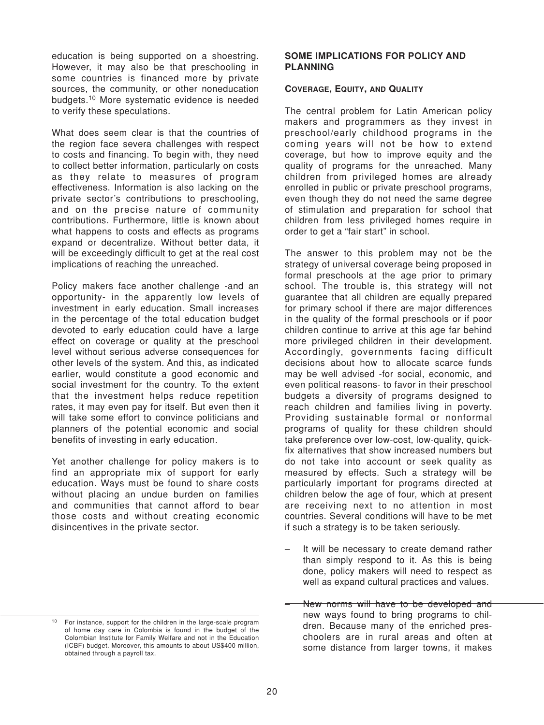education is being supported on a shoestring. However, it may also be that preschooling in some countries is financed more by private sources, the community, or other noneducation budgets.10 More systematic evidence is needed to verify these speculations.

What does seem clear is that the countries of the region face severa challenges with respect to costs and financing. To begin with, they need to collect better information, particularly on costs as they relate to measures of program effectiveness. Information is also lacking on the private sector's contributions to preschooling, and on the precise nature of community contributions. Furthermore, little is known about what happens to costs and effects as programs expand or decentralize. Without better data, it will be exceedingly difficult to get at the real cost implications of reaching the unreached.

Policy makers face another challenge -and an opportunity- in the apparently low levels of investment in early education. Small increases in the percentage of the total education budget devoted to early education could have a large effect on coverage or quality at the preschool level without serious adverse consequences for other levels of the system. And this, as indicated earlier, would constitute a good economic and social investment for the country. To the extent that the investment helps reduce repetition rates, it may even pay for itself. But even then it will take some effort to convince politicians and planners of the potential economic and social benefits of investing in early education.

Yet another challenge for policy makers is to find an appropriate mix of support for early education. Ways must be found to share costs without placing an undue burden on families and communities that cannot afford to bear those costs and without creating economic disincentives in the private sector.

# **SOME IMPLICATIONS FOR POLICY AND PLANNING**

#### **COVERAGE, EQUITY, AND QUALITY**

The central problem for Latin American policy makers and programmers as they invest in preschool/early childhood programs in the coming years will not be how to extend coverage, but how to improve equity and the quality of programs for the unreached. Many children from privileged homes are already enrolled in public or private preschool programs, even though they do not need the same degree of stimulation and preparation for school that children from less privileged homes require in order to get a "fair start" in school.

The answer to this problem may not be the strategy of universal coverage being proposed in formal preschools at the age prior to primary school. The trouble is, this strategy will not guarantee that all children are equally prepared for primary school if there are major differences in the quality of the formal preschools or if poor children continue to arrive at this age far behind more privileged children in their development. Accordingly, governments facing difficult decisions about how to allocate scarce funds may be well advised -for social, economic, and even political reasons- to favor in their preschool budgets a diversity of programs designed to reach children and families living in poverty. Providing sustainable formal or nonformal programs of quality for these children should take preference over low-cost, low-quality, quickfix alternatives that show increased numbers but do not take into account or seek quality as measured by effects. Such a strategy will be particularly important for programs directed at children below the age of four, which at present are receiving next to no attention in most countries. Several conditions will have to be met if such a strategy is to be taken seriously.

- It will be necessary to create demand rather than simply respond to it. As this is being done, policy makers will need to respect as well as expand cultural practices and values.
- New norms will have to be developed and new ways found to bring programs to children. Because many of the enriched preschoolers are in rural areas and often at some distance from larger towns, it makes

<sup>10</sup> For instance, support for the children in the large-scale program of home day care in Colombia is found in the budget of the Colombian Institute for Family Welfare and not in the Education (ICBF) budget. Moreover, this amounts to about US\$400 million, obtained through a payroll tax.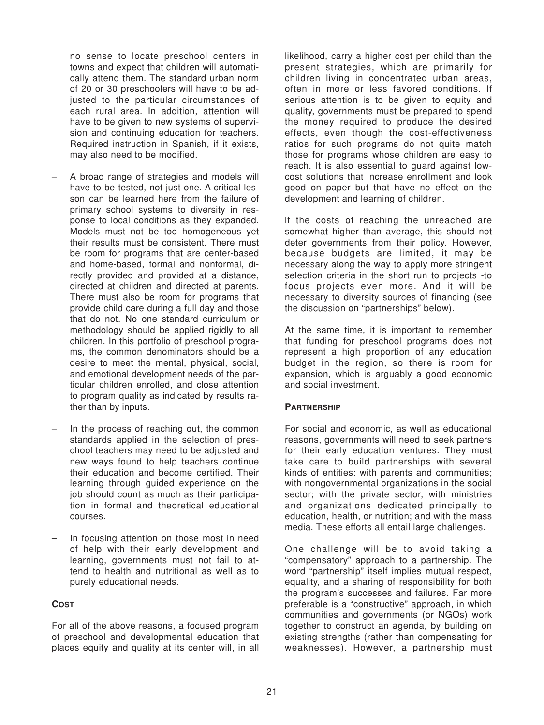no sense to locate preschool centers in towns and expect that children will automatically attend them. The standard urban norm of 20 or 30 preschoolers will have to be adjusted to the particular circumstances of each rural area. In addition, attention will have to be given to new systems of supervision and continuing education for teachers. Required instruction in Spanish, if it exists, may also need to be modified.

- A broad range of strategies and models will have to be tested, not just one. A critical lesson can be learned here from the failure of primary school systems to diversity in response to local conditions as they expanded. Models must not be too homogeneous yet their results must be consistent. There must be room for programs that are center-based and home-based, formal and nonformal, directly provided and provided at a distance, directed at children and directed at parents. There must also be room for programs that provide child care during a full day and those that do not. No one standard curriculum or methodology should be applied rigidly to all children. In this portfolio of preschool programs, the common denominators should be a desire to meet the mental, physical, social, and emotional development needs of the particular children enrolled, and close attention to program quality as indicated by results rather than by inputs.
- In the process of reaching out, the common standards applied in the selection of preschool teachers may need to be adjusted and new ways found to help teachers continue their education and become certified. Their learning through guided experience on the job should count as much as their participation in formal and theoretical educational courses.
- In focusing attention on those most in need of help with their early development and learning, governments must not fail to attend to health and nutritional as well as to purely educational needs.

#### **COST**

For all of the above reasons, a focused program of preschool and developmental education that places equity and quality at its center will, in all likelihood, carry a higher cost per child than the present strategies, which are primarily for children living in concentrated urban areas, often in more or less favored conditions. lf serious attention is to be given to equity and quality, governments must be prepared to spend the money required to produce the desired effects, even though the cost-effectiveness ratios for such programs do not quite match those for programs whose children are easy to reach. It is also essential to guard against lowcost solutions that increase enrollment and look good on paper but that have no effect on the development and learning of children.

lf the costs of reaching the unreached are somewhat higher than average, this should not deter governments from their policy. However, because budgets are limited, it may be necessary along the way to apply more stringent selection criteria in the short run to projects -to focus projects even more. And it will be necessary to diversity sources of financing (see the discussion on "partnerships" below).

At the same time, it is important to remember that funding for preschool programs does not represent a high proportion of any education budget in the region, so there is room for expansion, which is arguably a good economic and social investment.

#### **PARTNERSHIP**

For social and economic, as well as educational reasons, governments will need to seek partners for their early education ventures. They must take care to build partnerships with several kinds of entities: with parents and communities; with nongovernmental organizations in the social sector; with the private sector, with ministries and organizations dedicated principally to education, health, or nutrition; and with the mass media. These efforts all entail large challenges.

One challenge will be to avoid taking a "compensatory" approach to a partnership. The word "partnership" itself implies mutual respect, equality, and a sharing of responsibility for both the program's successes and failures. Far more preferable is a "constructive" approach, in which communities and governments (or NGOs) work together to construct an agenda, by building on existing strengths (rather than compensating for weaknesses). However, a partnership must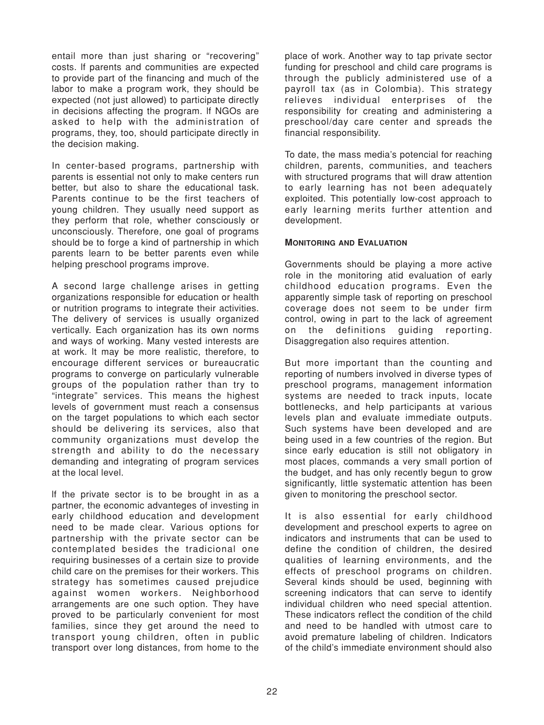entail more than just sharing or "recovering" costs. lf parents and communities are expected to provide part of the financing and much of the labor to make a program work, they should be expected (not just allowed) to participate directly in decisions affecting the program. lf NGOs are asked to help with the administration of programs, they, too, should participate directly in the decision making.

In center-based programs, partnership with parents is essential not only to make centers run better, but also to share the educational task. Parents continue to be the first teachers of young children. They usually need support as they perform that role, whether consciously or unconsciously. Therefore, one goal of programs should be to forge a kind of partnership in which parents learn to be better parents even while helping preschool programs improve.

A second large challenge arises in getting organizations responsible for education or health or nutrition programs to integrate their activities. The delivery of services is usually organized vertically. Each organization has its own norms and ways of working. Many vested interests are at work. lt may be more realistic, therefore, to encourage different services or bureaucratic programs to converge on particularly vulnerable groups of the population rather than try to "integrate" services. This means the highest levels of government must reach a consensus on the target populations to which each sector should be delivering its services, also that community organizations must develop the strength and ability to do the necessary demanding and integrating of program services at the local level.

lf the private sector is to be brought in as a partner, the economic advanteges of investing in early childhood education and development need to be made clear. Various options for partnership with the private sector can be contemplated besides the tradicional one requiring businesses of a certain size to provide child care on the premises for their workers. This strategy has sometimes caused prejudice against women workers. Neighborhood arrangements are one such option. They have proved to be particularly convenient for most families, since they get around the need to transport young children, often in public transport over long distances, from home to the place of work. Another way to tap private sector funding for preschool and child care programs is through the publicly administered use of a payroll tax (as in Colombia). This strategy relieves individual enterprises of the responsibility for creating and administering a preschool/day care center and spreads the financial responsibility.

To date, the mass media's potencial for reaching children, parents, communities, and teachers with structured programs that will draw attention to early learning has not been adequately exploited. This potentially low-cost approach to early learning merits further attention and development.

# **MONITORING AND EVALUATION**

Governments should be playing a more active role in the monitoring atid evaluation of early childhood education programs. Even the apparently simple task of reporting on preschool coverage does not seem to be under firm control, owing in part to the lack of agreement on the definitions guiding reporting. Disaggregation also requires attention.

But more important than the counting and reporting of numbers involved in diverse types of preschool programs, management information systems are needed to track inputs, locate bottlenecks, and help participants at various levels plan and evaluate immediate outputs. Such systems have been developed and are being used in a few countries of the region. But since early education is still not obligatory in most places, commands a very small portion of the budget, and has only recently begun to grow significantly, little systematic attention has been given to monitoring the preschool sector.

It is also essential for early childhood development and preschool experts to agree on indicators and instruments that can be used to define the condition of children, the desired qualities of learning environments, and the effects of preschool programs on children. Several kinds should be used, beginning with screening indicators that can serve to identify individual children who need special attention. These indicators reflect the condition of the child and need to be handled with utmost care to avoid premature labeling of children. Indicators of the child's immediate environment should also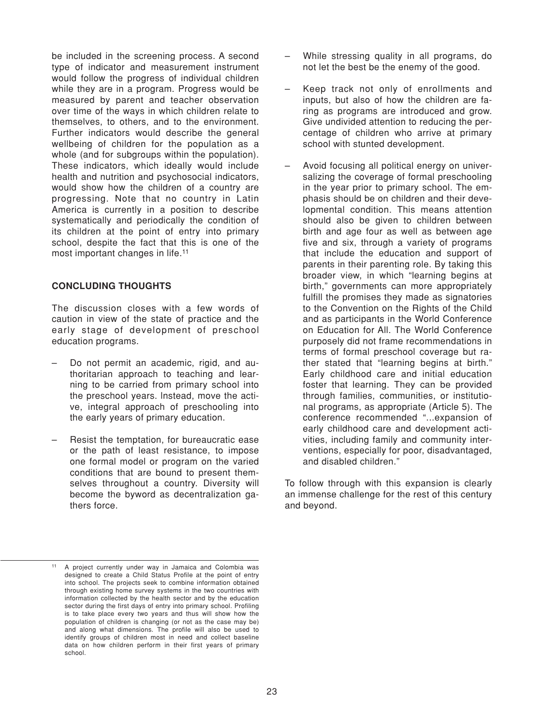be included in the screening process. A second type of indicator and measurement instrument would follow the progress of individual children while they are in a program. Progress would be measured by parent and teacher observation over time of the ways in which children relate to themselves, to others, and to the environment. Further indicators would describe the general wellbeing of children for the population as a whole (and for subgroups within the population). These indicators, which ideally would include health and nutrition and psychosocial indicators, would show how the children of a country are progressing. Note that no country in Latin America is currently in a position to describe systematically and periodically the condition of its children at the point of entry into primary school, despite the fact that this is one of the most important changes in life.11

#### **CONCLUDING THOUGHTS**

The discussion closes with a few words of caution in view of the state of practice and the early stage of development of preschool education programs.

- Do not permit an academic, rigid, and authoritarian approach to teaching and learning to be carried from primary school into the preschool years. lnstead, move the active, integral approach of preschooling into the early years of primary education.
- Resist the temptation, for bureaucratic ease or the path of least resistance, to impose one formal model or program on the varied conditions that are bound to present themselves throughout a country. Diversity will become the byword as decentralization gathers force.
- While stressing quality in all programs, do not let the best be the enemy of the good.
- Keep track not only of enrollments and inputs, but also of how the children are faring as programs are introduced and grow. Give undivided attention to reducing the percentage of children who arrive at primary school with stunted development.
- Avoid focusing all political energy on universalizing the coverage of formal preschooling in the year prior to primary school. The emphasis should be on children and their developmental condition. This means attention should also be given to children between birth and age four as well as between age five and six, through a variety of programs that include the education and support of parents in their parenting role. By taking this broader view, in which "learning begins at birth," governments can more appropriately fulfill the promises they made as signatories to the Convention on the Rights of the Child and as participants in the World Conference on Education for All. The World Conference purposely did not frame recommendations in terms of formal preschool coverage but rather stated that "learning begins at birth." Early childhood care and initial education foster that learning. They can be provided through families, communities, or institutional programs, as appropriate (Article 5). The conference recommended "...expansion of early childhood care and development activities, including family and community interventions, especially for poor, disadvantaged, and disabled children."

To follow through with this expansion is clearly an immense challenge for the rest of this century and beyond.

A project currently under way in Jamaica and Colombia was designed to create a Child Status Profile at the point of entry into school. The projects seek to combine information obtained through existing home survey systems in the two countries with information collected by the health sector and by the education sector during the first days of entry into primary school. Profiling is to take place every two years and thus will show how the population of children is changing (or not as the case may be) and along what dimensions. The profile will also be used to identify groups of children most in need and collect baseline data on how children perform in their first years of primary school.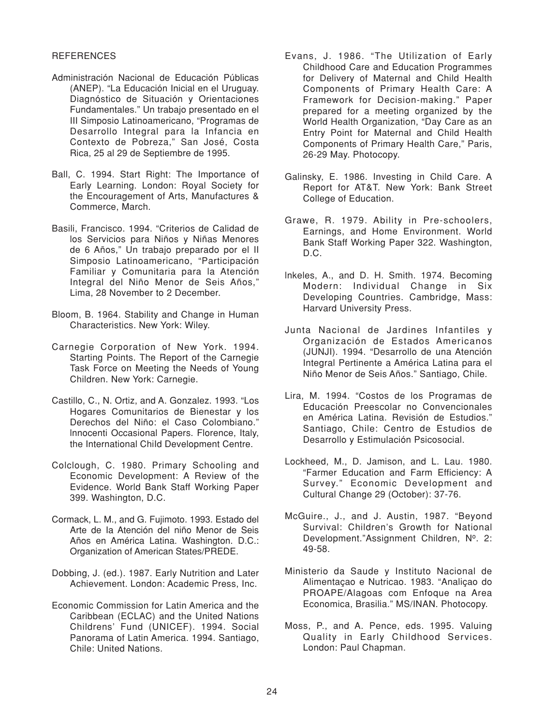#### **REFERENCES**

- Administración Nacional de Educación Públicas (ANEP). "La Educación Inicial en el Uruguay. Diagnóstico de Situación y Orientaciones Fundamentales." Un trabajo presentado en el III Simposio Latinoamericano, "Programas de Desarrollo Integral para la Infancia en Contexto de Pobreza," San José, Costa Rica, 25 al 29 de Septiembre de 1995.
- Ball, C. 1994. Start Right: The Importance of Early Learning. London: Royal Society for the Encouragement of Arts, Manufactures & Commerce, March.
- Basili, Francisco. 1994. "Criterios de Calidad de los Servicios para Niños y Niñas Menores de 6 Años," Un trabajo preparado por el II Simposio Latinoamericano, "Participación Familiar y Comunitaria para la Atención Integral del Niño Menor de Seis Años," Lima, 28 November to 2 December.
- Bloom, B. 1964. Stability and Change in Human Characteristics. New York: Wiley.
- Carnegie Corporation of New York. 1994. Starting Points. The Report of the Carnegie Task Force on Meeting the Needs of Young Children. New York: Carnegie.
- Castillo, C., N. Ortiz, and A. Gonzalez. 1993. "Los Hogares Comunitarios de Bienestar y los Derechos del Niño: el Caso Colombiano." lnnocenti Occasional Papers. Florence, Italy, the International ChiId Development Centre.
- Colclough, C. 1980. Primary Schooling and Economic Development: A Review of the Evidence. World Bank Staff Working Paper 399. Washington, D.C.
- Cormack, L. M., and G. Fujimoto. 1993. Estado del Arte de Ia Atención del niño Menor de Seis Años en América Latina. Washington. D.C.: Organization of American States/PREDE.
- Dobbing, J. (ed.). 1987. Early Nutrition and Later Achievement. London: Academic Press, Inc.
- Economic Commission for Latin America and the Caribbean (ECLAC) and the United Nations Childrens' Fund (UNICEF). 1994. Social Panorama of Latin America. 1994. Santiago, Chile: United Nations.
- Evans, J. 1986. "The Utilization of Early Childhood Care and Education Programmes for Delivery of Maternal and Child Health Components of Primary Health Care: A Framework for Decision-making." Paper prepared for a meeting organized by the World Health Organization, "Day Care as an Entry Point for Maternal and Child Health Components of Primary Health Care," Paris, 26-29 May. Photocopy.
- Galinsky, E. 1986. Investing in Child Care. A Report for AT&T. New York: Bank Street College of Education.
- Grawe, R. 1979. Ability in Pre-schoolers, Earnings, and Home Environment. World Bank Staff Working Paper 322. Washington, D.C.
- lnkeles, A., and D. H. Smith. 1974. Becoming Modern: Individual Change in Six Developing Countries. Cambridge, Mass: Harvard University Press.
- Junta Nacional de Jardines Infantiles y Organización de Estados Americanos (JUNJI). 1994. "Desarrollo de una Atención Integral Pertinente a América Latina para el Niño Menor de Seis Años." Santiago, Chile.
- Lira, M. 1994. "Costos de los Programas de Educación Preescolar no Convencionales en América Latina. Revisión de Estudios." Santiago, Chile: Centro de Estudios de Desarrollo y Estimulación Psicosocial.
- Lockheed, M., D. Jamison, and L. Lau. 1980. "Farmer Education and Farm Efficiency: A Survey." Economic Development and Cultural Change 29 (October): 37-76.
- McGuire., J., and J. Austin, 1987. "Beyond Survival: Children's Growth for National Development."Assignment Children, Nº. 2: 49-58.
- Ministerio da Saude y Instituto Nacional de Alimentaçao e Nutricao. 1983. "Analiçao do PROAPE/Alagoas com Enfoque na Area Economica, Brasilia." MS/INAN. Photocopy.
- Moss, P., and A. Pence, eds. 1995. Valuing Quality in Early Childhood Services. London: Paul Chapman.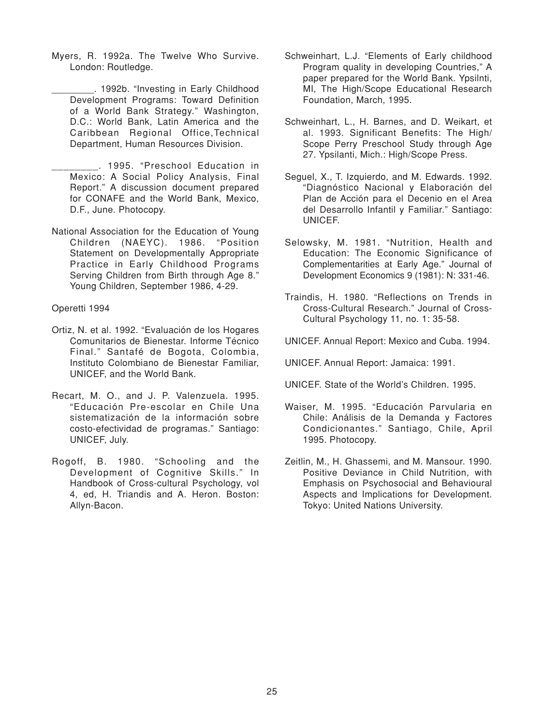Myers, R. 1992a. The Twelve Who Survive. London: Routledge.

\_\_\_\_\_\_\_\_. 1992b. "Investing in Early Childhood Development Programs: Toward Definition of a World Bank Strategy." Washington, D.C.: World Bank, Latin America and the Caribbean Regional Office,Technical Department, Human Resources Division.

- \_\_\_\_\_\_\_\_. 1995. "Preschool Education in Mexico: A Social Policy Analysis, Final Report." A discussion document prepared for CONAFE and the World Bank, Mexico, D.F., June. Photocopy.
- National Association for the Education of Young Children (NAEYC). 1986. "Position Statement on Developmentally Appropriate Practice in Early Childhood Programs Serving Children from Birth through Age 8." Young Children, September 1986, 4-29.

Operetti 1994

- Ortiz, N. et al. 1992. "Evaluación de los Hogares Comunitarios de Bienestar. Informe Técnico Final." Santafé de Bogota, Colombia, Instituto Colombiano de Bienestar Familiar, UNICEF, and the World Bank.
- Recart, M. O., and J. P. Valenzuela. 1995. "Educación Pre-escolar en Chile Una sistematización de la información sobre costo-efectividad de programas." Santiago: UNICEF, July.
- Rogoff, B. 1980. "Schooling and the Development of Cognitive Skills." In Handbook of Cross-cultural Psychology, vol 4, ed, H. Triandis and A. Heron. Boston: Allyn-Bacon.
- Schweinhart, L.J. "Elements of Early childhood Program quality in developing Countries," A paper prepared for the World Bank. Ypsilnti, MI, The High/Scope Educational Research Foundation, March, 1995.
- Schweinhart, L., H. Barnes, and D. Weikart, et al. 1993. Significant Benefits: The High/ Scope Perry Preschool Study through Age 27. Ypsilanti, Mich.: High/Scope Press.
- Seguel, X., T. Izquierdo, and M. Edwards. 1992. "Diagnóstico Nacional y Elaboración del Plan de Acción para el Decenio en el Area del Desarrollo Infantil y Familiar." Santiago: UNICEF.
- Selowsky, M. 1981. "Nutrition, Health and Education: The Economic Significance of Complementarities at Early Age." Journal of Development Economics 9 (1981): N: 331-46.
- Traindis, H. 1980. "Reflections on Trends in Cross-Cultural Research." Journal of Cross-Cultural Psychology 11, no. 1: 35-58.
- UNICEF. Annual Report: Mexico and Cuba. 1994.
- UNICEF. Annual Report: Jamaica: 1991.
- UNICEF. State of the World's Children. 1995.
- Waiser, M. 1995. "Educación Parvularia en Chile: Análisis de la Demanda y Factores Condicionantes." Santiago, Chile, April 1995. Photocopy.
- Zeitlin, M., H. Ghassemi, and M. Mansour. 1990. Positive Deviance in Child Nutrition, with Emphasis on Psychosocial and Behavioural Aspects and Implications for Development. Tokyo: United Nations University.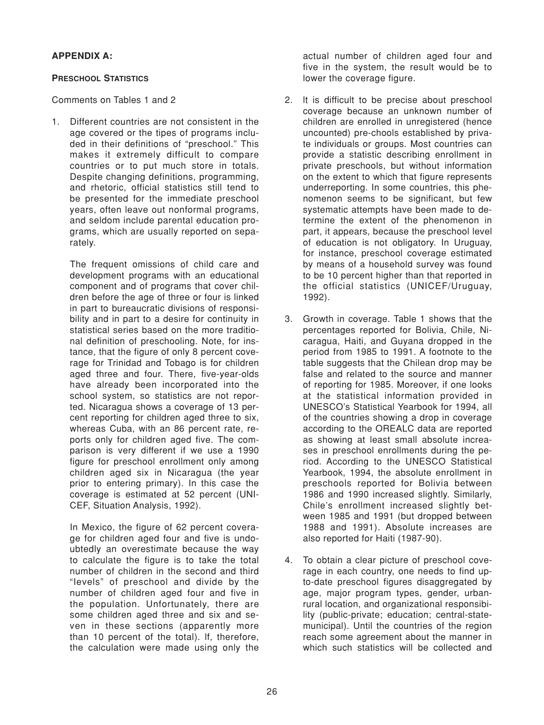# **APPENDIX A:**

# **PRESCHOOL STATISTICS**

Comments on Tables 1 and 2

1. Different countries are not consistent in the age covered or the tipes of programs included in their definitions of "preschool." This makes it extremely difficult to compare countries or to put much store in totals. Despite changing definitions, programming, and rhetoric, official statistics still tend to be presented for the immediate preschool years, often leave out nonformal programs, and seldom include parental education programs, which are usually reported on separately.

The frequent omissions of child care and development programs with an educational component and of programs that cover children before the age of three or four is linked in part to bureaucratic divisions of responsibility and in part to a desire for continuity in statistical series based on the more traditional definition of preschooling. Note, for instance, that the figure of only 8 percent coverage for Trinidad and Tobago is for children aged three and four. There, five-year-olds have already been incorporated into the school system, so statistics are not reported. Nicaragua shows a coverage of 13 percent reporting for children aged three to six, whereas Cuba, with an 86 percent rate, reports only for children aged five. The comparison is very different if we use a 1990 figure for preschool enrollment only among children aged six in Nicaragua (the year prior to entering primary). In this case the coverage is estimated at 52 percent (UNI-CEF, Situation Analysis, 1992).

In Mexico, the figure of 62 percent coverage for children aged four and five is undoubtedly an overestimate because the way to calculate the figure is to take the total number of children in the second and third "Ievels" of preschool and divide by the number of children aged four and five in the population. Unfortunately, there are some children aged three and six and seven in these sections (apparently more than 10 percent of the total). lf, therefore, the calculation were made using only the

actual number of children aged four and five in the system, the result would be to lower the coverage figure.

- 2. lt is difficult to be precise about preschool coverage because an unknown number of children are enrolled in unregistered (hence uncounted) pre-chools established by private individuals or groups. Most countries can provide a statistic describing enrollment in private preschools, but without information on the extent to which that figure represents underreporting. In some countries, this phenomenon seems to be significant, but few systematic attempts have been made to determine the extent of the phenomenon in part, it appears, because the preschool level of education is not obligatory. In Uruguay, for instance, preschool coverage estimated by means of a household survey was found to be 10 percent higher than that reported in the official statistics (UNICEF/Uruguay, 1992).
- 3. Growth in coverage. Table 1 shows that the percentages reported for Bolivia, Chile, Nicaragua, Haiti, and Guyana dropped in the period from 1985 to 1991. A footnote to the table suggests that the Chilean drop may be false and related to the source and manner of reporting for 1985. Moreover, if one looks at the statistical information provided in UNESCO's Statistical Yearbook for 1994, all of the countries showing a drop in coverage according to the OREALC data are reported as showing at least small absolute increases in preschool enrollments during the period. According to the UNESCO Statistical Yearbook, 1994, the absolute enrollment in preschools reported for Bolivia between 1986 and 1990 increased slightly. Similarly, Chile's enrollment increased slightly between 1985 and 1991 (but dropped between 1988 and 1991). Absolute increases are also reported for Haiti (1987-90).
- 4. To obtain a clear picture of preschool coverage in each country, one needs to find upto-date preschool figures disaggregated by age, major program types, gender, urbanrural location, and organizational responsibility (public-private; education; central-statemunicipal). Until the countries of the region reach some agreement about the manner in which such statistics will be collected and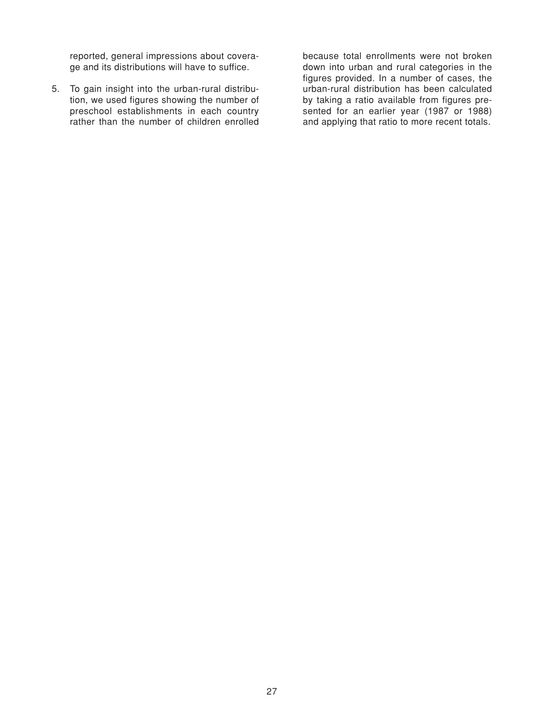reported, general impressions about coverage and its distributions will have to suffice.

5. To gain insight into the urban-rural distribution, we used figures showing the number of preschool establishments in each country rather than the number of children enrolled because total enrollments were not broken down into urban and rural categories in the figures provided. In a number of cases, the urban-rural distribution has been calculated by taking a ratio available from figures presented for an earlier year (1987 or 1988) and applying that ratio to more recent totals.